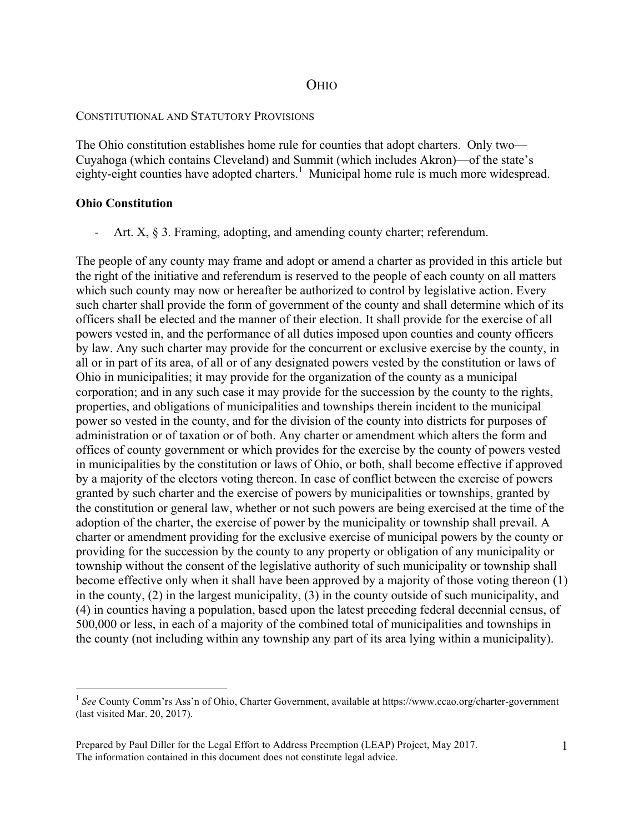# OHIO

### CONSTITUTIONAL AND STATUTORY PROVISIONS

The Ohio constitution establishes home rule for counties that adopt charters. Only two— Cuyahoga (which contains Cleveland) and Summit (which includes Akron)—of the state's eighty-eight counties have adopted charters.<sup>1</sup> Municipal home rule is much more widespread.

## **Ohio Constitution**

Art. X, § 3. Framing, adopting, and amending county charter; referendum.

The people of any county may frame and adopt or amend a charter as provided in this article but the right of the initiative and referendum is reserved to the people of each county on all matters which such county may now or hereafter be authorized to control by legislative action. Every such charter shall provide the form of government of the county and shall determine which of its officers shall be elected and the manner of their election. It shall provide for the exercise of all powers vested in, and the performance of all duties imposed upon counties and county officers by law. Any such charter may provide for the concurrent or exclusive exercise by the county, in all or in part of its area, of all or of any designated powers vested by the constitution or laws of Ohio in municipalities; it may provide for the organization of the county as a municipal corporation; and in any such case it may provide for the succession by the county to the rights, properties, and obligations of municipalities and townships therein incident to the municipal power so vested in the county, and for the division of the county into districts for purposes of administration or of taxation or of both. Any charter or amendment which alters the form and offices of county government or which provides for the exercise by the county of powers vested in municipalities by the constitution or laws of Ohio, or both, shall become effective if approved by a majority of the electors voting thereon. In case of conflict between the exercise of powers granted by such charter and the exercise of powers by municipalities or townships, granted by the constitution or general law, whether or not such powers are being exercised at the time of the adoption of the charter, the exercise of power by the municipality or township shall prevail. A charter or amendment providing for the exclusive exercise of municipal powers by the county or providing for the succession by the county to any property or obligation of any municipality or township without the consent of the legislative authority of such municipality or township shall become effective only when it shall have been approved by a majority of those voting thereon (1) in the county, (2) in the largest municipality, (3) in the county outside of such municipality, and (4) in counties having a population, based upon the latest preceding federal decennial census, of 500,000 or less, in each of a majority of the combined total of municipalities and townships in the county (not including within any township any part of its area lying within a municipality).

<sup>&</sup>lt;sup>1</sup> See County Comm'rs Ass'n of Ohio, Charter Government, available at https://www.ccao.org/charter-government (last visited Mar. 20, 2017).

Prepared by Paul Diller for the Legal Effort to Address Preemption (LEAP) Project, May 2017. The information contained in this document does not constitute legal advice.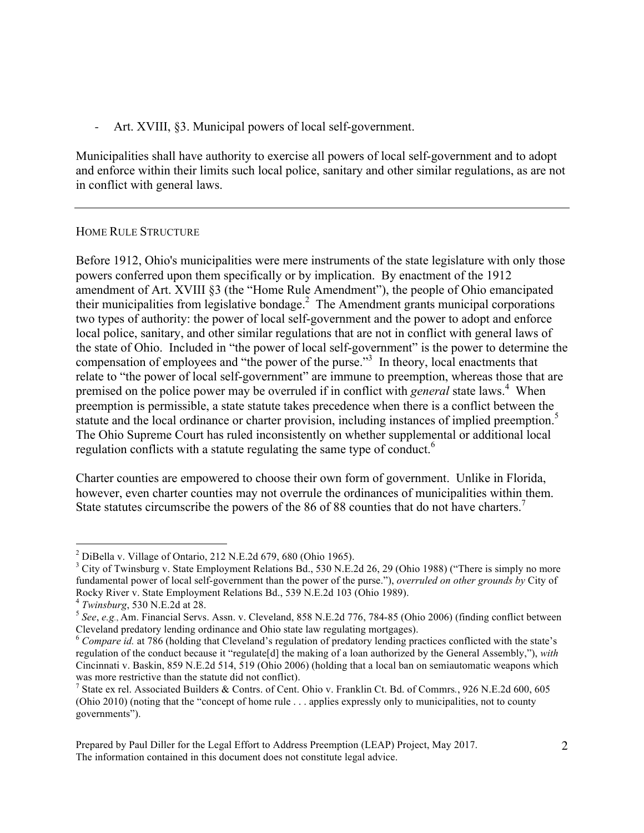Art. XVIII, §3. Municipal powers of local self-government.

Municipalities shall have authority to exercise all powers of local self-government and to adopt and enforce within their limits such local police, sanitary and other similar regulations, as are not in conflict with general laws.

## HOME RULE STRUCTURE

Before 1912, Ohio's municipalities were mere instruments of the state legislature with only those powers conferred upon them specifically or by implication. By enactment of the 1912 amendment of Art. XVIII §3 (the "Home Rule Amendment"), the people of Ohio emancipated their municipalities from legislative bondage.<sup>2</sup> The Amendment grants municipal corporations two types of authority: the power of local self-government and the power to adopt and enforce local police, sanitary, and other similar regulations that are not in conflict with general laws of the state of Ohio. Included in "the power of local self-government" is the power to determine the compensation of employees and "the power of the purse."<sup>3</sup> In theory, local enactments that relate to "the power of local self-government" are immune to preemption, whereas those that are premised on the police power may be overruled if in conflict with *general* state laws.<sup>4</sup> When preemption is permissible, a state statute takes precedence when there is a conflict between the statute and the local ordinance or charter provision, including instances of implied preemption.<sup>5</sup> The Ohio Supreme Court has ruled inconsistently on whether supplemental or additional local regulation conflicts with a statute regulating the same type of conduct.<sup>6</sup>

Charter counties are empowered to choose their own form of government. Unlike in Florida, however, even charter counties may not overrule the ordinances of municipalities within them. State statutes circumscribe the powers of the 86 of 88 counties that do not have charters.<sup>7</sup>

 $\frac{1}{2}$  $<sup>2</sup>$  DiBella v. Village of Ontario, 212 N.E.2d 679, 680 (Ohio 1965).</sup>

<sup>&</sup>lt;sup>3</sup> City of Twinsburg v. State Employment Relations Bd., 530 N.E.2d 26, 29 (Ohio 1988) ("There is simply no more fundamental power of local self-government than the power of the purse."), *overruled on other grounds by* City of

Rocky River v. State Employment Relations Bd., 539 N.E.2d 103 (Ohio 1989).<br>
<sup>4</sup> Twinsburg, 530 N.E.2d at 28.<br>
<sup>5</sup> See, e.g., Am. Financial Servs. Assn. v. Cleveland, 858 N.E.2d 776, 784-85 (Ohio 2006) (finding conflict bet Cleveland predatory lending ordinance and Ohio state law regulating mortgages).

<sup>&</sup>lt;sup>6</sup> Compare id. at 786 (holding that Cleveland's regulation of predatory lending practices conflicted with the state's regulation of the conduct because it "regulate[d] the making of a loan authorized by the General Assembly,"), *with* Cincinnati v. Baskin, 859 N.E.2d 514, 519 (Ohio 2006) (holding that a local ban on semiautomatic weapons which was more restrictive than the statute did not conflict).

State ex rel. Associated Builders & Contrs. of Cent. Ohio v. Franklin Ct. Bd. of Commrs*.*, 926 N.E.2d 600, 605 (Ohio 2010) (noting that the "concept of home rule . . . applies expressly only to municipalities, not to county governments").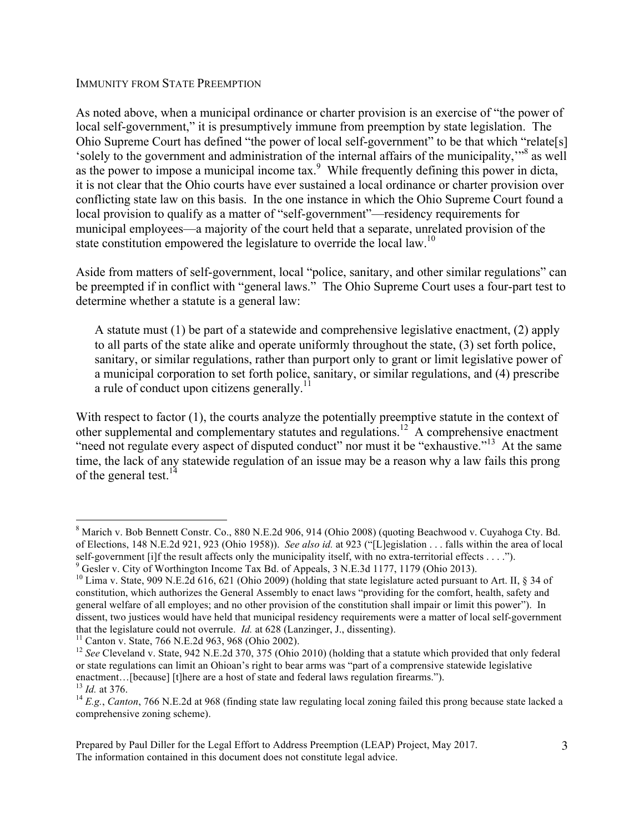#### IMMUNITY FROM STATE PREEMPTION

As noted above, when a municipal ordinance or charter provision is an exercise of "the power of local self-government," it is presumptively immune from preemption by state legislation. The Ohio Supreme Court has defined "the power of local self-government" to be that which "relate[s] 'solely to the government and administration of the internal affairs of the municipality,"<sup>8</sup> as well as the power to impose a municipal income  $\text{tax}$ <sup>9</sup>. While frequently defining this power in dicta, it is not clear that the Ohio courts have ever sustained a local ordinance or charter provision over conflicting state law on this basis. In the one instance in which the Ohio Supreme Court found a local provision to qualify as a matter of "self-government"—residency requirements for municipal employees—a majority of the court held that a separate, unrelated provision of the state constitution empowered the legislature to override the local law.<sup>10</sup>

Aside from matters of self-government, local "police, sanitary, and other similar regulations" can be preempted if in conflict with "general laws." The Ohio Supreme Court uses a four-part test to determine whether a statute is a general law:

A statute must (1) be part of a statewide and comprehensive legislative enactment, (2) apply to all parts of the state alike and operate uniformly throughout the state, (3) set forth police, sanitary, or similar regulations, rather than purport only to grant or limit legislative power of a municipal corporation to set forth police, sanitary, or similar regulations, and (4) prescribe a rule of conduct upon citizens generally.<sup>11</sup>

With respect to factor (1), the courts analyze the potentially preemptive statute in the context of other supplemental and complementary statutes and regulations.<sup>12</sup> A comprehensive enactment "need not regulate every aspect of disputed conduct" nor must it be "exhaustive."<sup>13</sup> At the same time, the lack of any statewide regulation of an issue may be a reason why a law fails this prong of the general test.<sup>14</sup>

8 <sup>8</sup> Marich v. Bob Bennett Constr. Co., 880 N.E.2d 906, 914 (Ohio 2008) (quoting Beachwood v. Cuyahoga Cty. Bd. of Elections, 148 N.E.2d 921, 923 (Ohio 1958)). *See also id.* at 923 ("[L]egislation . . . falls within the area of local self-government [i]f the result affects only the municipality itself, with no extra-territorial effects  $\dots$ .").

Gesler v. City of Worthington Income Tax Bd. of Appeals,  $3$  N.E.3d 1177, 1179 (Ohio 2013).

<sup>&</sup>lt;sup>10</sup> Lima v. State, 909 N.E.2d 616, 621 (Ohio 2009) (holding that state legislature acted pursuant to Art. II, § 34 of constitution, which authorizes the General Assembly to enact laws "providing for the comfort, health, safety and general welfare of all employes; and no other provision of the constitution shall impair or limit this power"). In dissent, two justices would have held that municipal residency requirements were a matter of local self-government that the legislature could not overrule. *Id.* at 628 (Lanzinger, J., dissenting).<br><sup>11</sup> Canton v. State, 766 N.E.2d 963, 968 (Ohio 2002).<br><sup>12</sup> See Cleveland v. State, 942 N.E.2d 370, 375 (Ohio 2010) (holding that a statut

or state regulations can limit an Ohioan's right to bear arms was "part of a comprensive statewide legislative enactment...[because] [t]here are a host of state and federal laws regulation firearms.").<br><sup>13</sup> *Id.* at 376.<br><sup>14</sup> *E.g.*, *Canton*, 766 N.E.2d at 968 (finding state law regulating local zoning failed this prong because s

comprehensive zoning scheme).